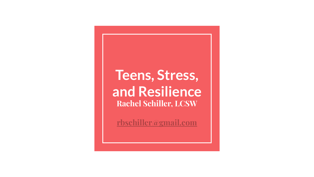#### **Teens, Stress, and Resilience Rachel Schiller, LCSW**

**[rbschiller@gmail.com](mailto:rbschiller@gmail.com)**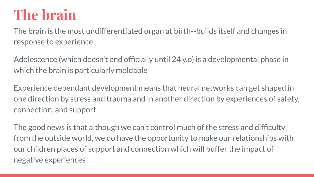### **The brain**

The brain is the most undifferentiated organ at birth--builds itself and changes in response to experience

Adolescence (which doesn't end officially until 24 y.o) is a developmental phase in which the brain is particularly moldable

Experience dependant development means that neural networks can get shaped in one direction by stress and trauma and in another direction by experiences of safety, connection, and support

The good news is that although we can't control much of the stress and difficulty from the outside world, we do have the opportunity to make our relationships with our children places of support and connection which will buffer the impact of negative experiences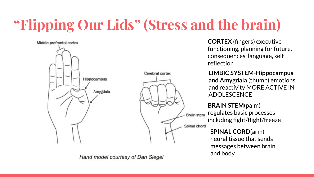# **"Flipping Our Lids" (Stress and the brain)**



Hand model courtesy of Dan Siegel

**CORTEX** (fingers) executive functioning, planning for future, consequences, language, self reflection

**LIMBIC SYSTEM**-**Hippocampus and Amygdala** (thumb) emotions and reactivity MORE ACTIVE IN ADOLESCENCE

**BRAIN STEM**(palm) regulates basic processes **Brain stem** including fight/flight/freeze Spinal chord

> **SPINAL CORD**(arm) neural tissue that sends messages between brain and body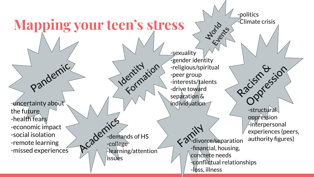#### **Mapping your teen's stress**

-uncertainty about the future -health fears -economic impact -social isolation -remote learning -missed experiences

Pandemic

-sexuality -gender identity -religious/spiritual -peer group -interests/talents -drive toward separation & individuation

Academics -demands of HS -college -learning/attention **issues** 

Identity ion

 $\propto 2^{\pi/11}$ -financial, housing, concrete needs -conflictual relationships -loss, illness

**World** 

Election

-politics

-Climate crisis

Racism & sion -structural oppression -interpersonal experiences (peers, authority figures)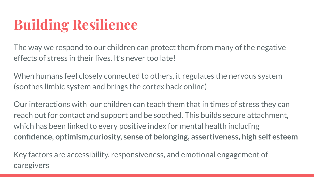## **Building Resilience**

The way we respond to our children can protect them from many of the negative effects of stress in their lives. It's never too late!

When humans feel closely connected to others, it regulates the nervous system (soothes limbic system and brings the cortex back online)

Our interactions with our children can teach them that in times of stress they can reach out for contact and support and be soothed. This builds secure attachment, which has been linked to every positive index for mental health including **confidence, optimism,curiosity, sense of belonging, assertiveness, high self esteem**

Key factors are accessibility, responsiveness, and emotional engagement of caregivers